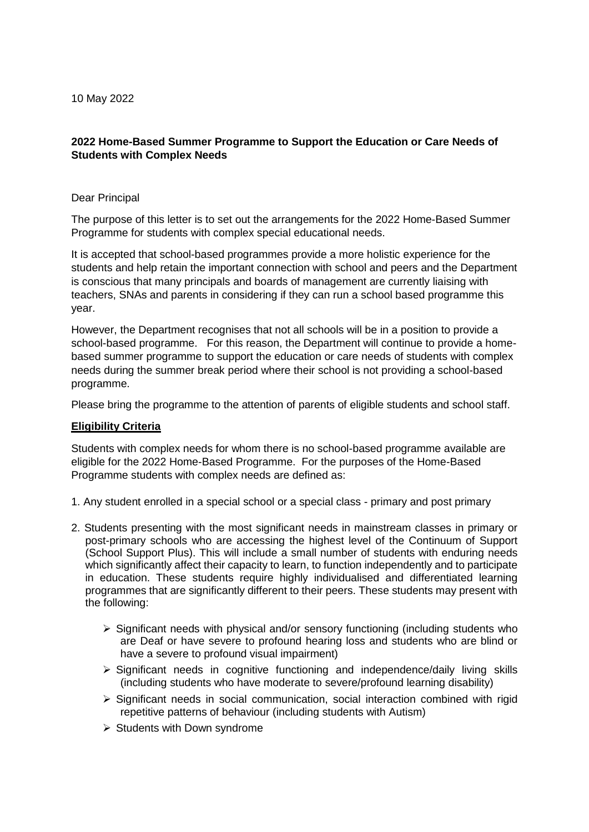# **2022 Home-Based Summer Programme to Support the Education or Care Needs of Students with Complex Needs**

#### Dear Principal

The purpose of this letter is to set out the arrangements for the 2022 Home-Based Summer Programme for students with complex special educational needs.

It is accepted that school-based programmes provide a more holistic experience for the students and help retain the important connection with school and peers and the Department is conscious that many principals and boards of management are currently liaising with teachers, SNAs and parents in considering if they can run a school based programme this year.

However, the Department recognises that not all schools will be in a position to provide a school-based programme. For this reason, the Department will continue to provide a homebased summer programme to support the education or care needs of students with complex needs during the summer break period where their school is not providing a school-based programme.

Please bring the programme to the attention of parents of eligible students and school staff.

## **Eligibility Criteria**

Students with complex needs for whom there is no school-based programme available are eligible for the 2022 Home-Based Programme. For the purposes of the Home-Based Programme students with complex needs are defined as:

- 1. Any student enrolled in a special school or a special class primary and post primary
- 2. Students presenting with the most significant needs in mainstream classes in primary or post-primary schools who are accessing the highest level of the Continuum of Support (School Support Plus). This will include a small number of students with enduring needs which significantly affect their capacity to learn, to function independently and to participate in education. These students require highly individualised and differentiated learning programmes that are significantly different to their peers. These students may present with the following:
	- $\triangleright$  Significant needs with physical and/or sensory functioning (including students who are Deaf or have severe to profound hearing loss and students who are blind or have a severe to profound visual impairment)
	- $\triangleright$  Significant needs in cognitive functioning and independence/daily living skills (including students who have moderate to severe/profound learning disability)
	- $\triangleright$  Significant needs in social communication, social interaction combined with rigid repetitive patterns of behaviour (including students with Autism)
	- $\triangleright$  Students with Down syndrome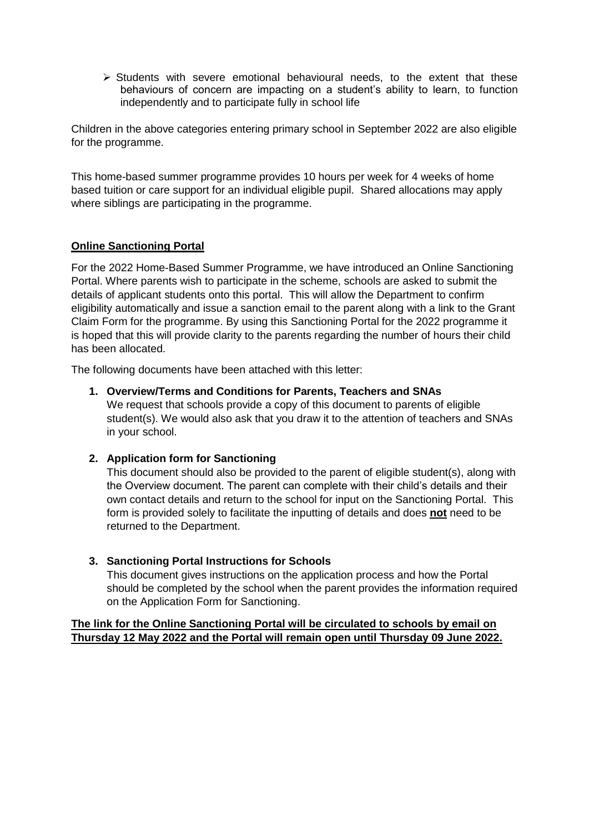$\triangleright$  Students with severe emotional behavioural needs, to the extent that these behaviours of concern are impacting on a student's ability to learn, to function independently and to participate fully in school life

Children in the above categories entering primary school in September 2022 are also eligible for the programme.

This home-based summer programme provides 10 hours per week for 4 weeks of home based tuition or care support for an individual eligible pupil. Shared allocations may apply where siblings are participating in the programme.

# **Online Sanctioning Portal**

For the 2022 Home-Based Summer Programme, we have introduced an Online Sanctioning Portal. Where parents wish to participate in the scheme, schools are asked to submit the details of applicant students onto this portal. This will allow the Department to confirm eligibility automatically and issue a sanction email to the parent along with a link to the Grant Claim Form for the programme. By using this Sanctioning Portal for the 2022 programme it is hoped that this will provide clarity to the parents regarding the number of hours their child has been allocated.

The following documents have been attached with this letter:

#### **1. Overview/Terms and Conditions for Parents, Teachers and SNAs**

We request that schools provide a copy of this document to parents of eligible student(s). We would also ask that you draw it to the attention of teachers and SNAs in your school.

## **2. Application form for Sanctioning**

This document should also be provided to the parent of eligible student(s), along with the Overview document. The parent can complete with their child's details and their own contact details and return to the school for input on the Sanctioning Portal. This form is provided solely to facilitate the inputting of details and does **not** need to be returned to the Department.

## **3. Sanctioning Portal Instructions for Schools**

This document gives instructions on the application process and how the Portal should be completed by the school when the parent provides the information required on the Application Form for Sanctioning.

## **The link for the Online Sanctioning Portal will be circulated to schools by email on Thursday 12 May 2022 and the Portal will remain open until Thursday 09 June 2022.**